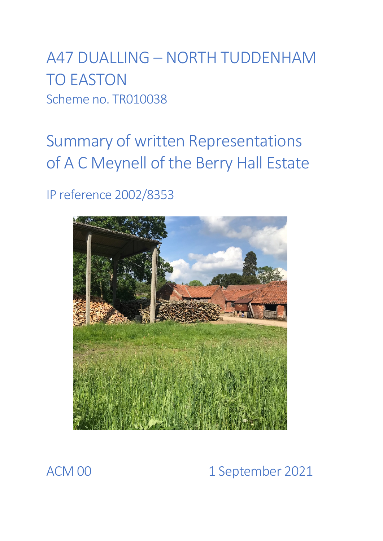A47 DUALLING – NORTH TUDDENHAM TO EASTON Scheme no. TR010038

Summary of written Representations of A C Meynell of the Berry Hall Estate

IP reference 2002/8353



# ACM 00 1 September 2021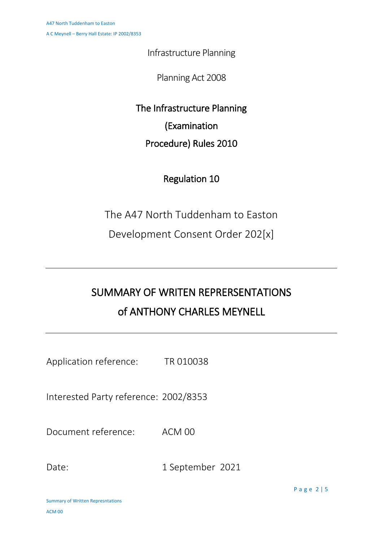Infrastructure Planning

Planning Act 2008

The Infrastructure Planning (Examination Procedure) Rules 2010

## Regulation 10

The A47 North Tuddenham to Easton

Development Consent Order 202[x]

# SUMMARY OF WRITEN REPRERSENTATIONS of ANTHONY CHARLES MEYNELL

Application reference: TR 010038

Interested Party reference: 2002/8353

Document reference: ACM 00

Date: 1 September 2021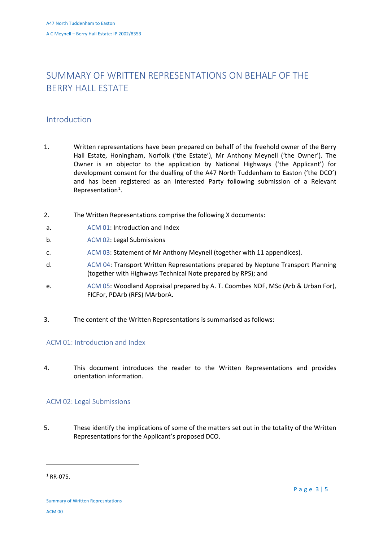## SUMMARY OF WRITTEN REPRESENTATIONS ON BEHALF OF THE BERRY HALL ESTATE

### Introduction

- 1. Written representations have been prepared on behalf of the freehold owner of the Berry Hall Estate, Honingham, Norfolk ('the Estate'), Mr Anthony Meynell ('the Owner'). The Owner is an objector to the application by National Highways ('the Applicant') for development consent for the dualling of the A47 North Tuddenham to Easton ('the DCO') and has been registered as an Interested Party following submission of a Relevant Representation<sup>[1](#page-2-0)</sup>.
- 2. The Written Representations comprise the following X documents:
- a. ACM 01: Introduction and Index
- b. ACM 02: Legal Submissions
- c. ACM 03: Statement of Mr Anthony Meynell (together with 11 appendices).
- d. ACM 04: Transport Written Representations prepared by Neptune Transport Planning (together with Highways Technical Note prepared by RPS); and
- e. ACM 05: Woodland Appraisal prepared by A. T. Coombes NDF, MSc (Arb & Urban For), FICFor, PDArb (RFS) MArborA.
- 3. The content of the Written Representations is summarised as follows:

#### ACM 01: Introduction and Index

4. This document introduces the reader to the Written Representations and provides orientation information.

#### ACM 02: Legal Submissions

5. These identify the implications of some of the matters set out in the totality of the Written Representations for the Applicant's proposed DCO.

**.** 

<span id="page-2-0"></span> $1$  RR-075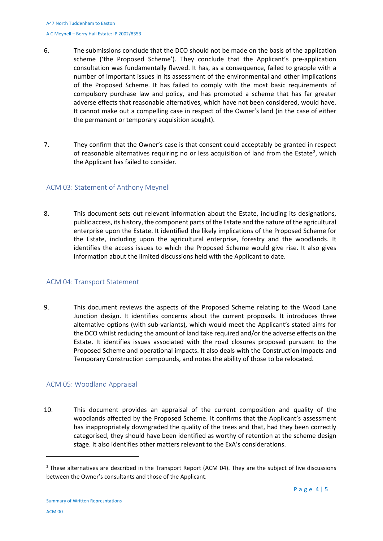- 6. The submissions conclude that the DCO should not be made on the basis of the application scheme ('the Proposed Scheme'). They conclude that the Applicant's pre-application consultation was fundamentally flawed. It has, as a consequence, failed to grapple with a number of important issues in its assessment of the environmental and other implications of the Proposed Scheme. It has failed to comply with the most basic requirements of compulsory purchase law and policy, and has promoted a scheme that has far greater adverse effects that reasonable alternatives, which have not been considered, would have. It cannot make out a compelling case in respect of the Owner's land (in the case of either the permanent or temporary acquisition sought).
- 7. They confirm that the Owner's case is that consent could acceptably be granted in respect of reasonable alternatives requiring no or less acquisition of land from the Estate<sup>[2](#page-3-0)</sup>, which the Applicant has failed to consider.

#### ACM 03: Statement of Anthony Meynell

8. This document sets out relevant information about the Estate, including its designations, public access, its history, the component parts of the Estate and the nature of the agricultural enterprise upon the Estate. It identified the likely implications of the Proposed Scheme for the Estate, including upon the agricultural enterprise, forestry and the woodlands. It identifies the access issues to which the Proposed Scheme would give rise. It also gives information about the limited discussions held with the Applicant to date.

#### ACM 04: Transport Statement

9. This document reviews the aspects of the Proposed Scheme relating to the Wood Lane Junction design. It identifies concerns about the current proposals. It introduces three alternative options (with sub-variants), which would meet the Applicant's stated aims for the DCO whilst reducing the amount of land take required and/or the adverse effects on the Estate. It identifies issues associated with the road closures proposed pursuant to the Proposed Scheme and operational impacts. It also deals with the Construction Impacts and Temporary Construction compounds, and notes the ability of those to be relocated.

#### ACM 05: Woodland Appraisal

10. This document provides an appraisal of the current composition and quality of the woodlands affected by the Proposed Scheme. It confirms that the Applicant's assessment has inappropriately downgraded the quality of the trees and that, had they been correctly categorised, they should have been identified as worthy of retention at the scheme design stage. It also identifies other matters relevant to the ExA's considerations.

**.** 

<span id="page-3-0"></span><sup>&</sup>lt;sup>2</sup> These alternatives are described in the Transport Report (ACM 04). They are the subject of live discussions between the Owner's consultants and those of the Applicant.